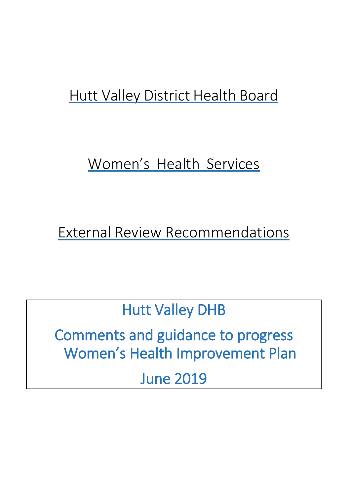# Hutt Valley District Health Board

# Women's Health Services

External Review Recommendations

Hutt Valley DHB

Comments and guidance to progress Women's Health Improvement Plan

June 2019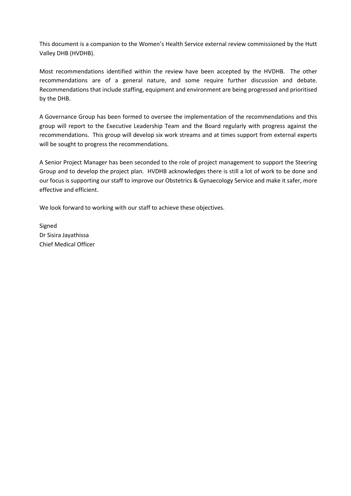This document is a companion to the Women's Health Service external review commissioned by the Hutt Valley DHB (HVDHB).

Most recommendations identified within the review have been accepted by the HVDHB. The other recommendations are of a general nature, and some require further discussion and debate. Recommendations that include staffing, equipment and environment are being progressed and prioritised by the DHB.

A Governance Group has been formed to oversee the implementation of the recommendations and this group will report to the Executive Leadership Team and the Board regularly with progress against the recommendations. This group will develop six work streams and at times support from external experts will be sought to progress the recommendations.

A Senior Project Manager has been seconded to the role of project management to support the Steering Group and to develop the project plan. HVDHB acknowledges there is still a lot of work to be done and our focus is supporting our staff to improve our Obstetrics & Gynaecology Service and make it safer, more effective and efficient.

We look forward to working with our staff to achieve these objectives.

Signed Dr Sisira Jayathissa Chief Medical Officer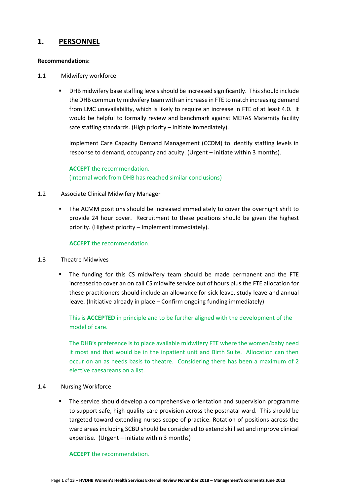# **1. PERSONNEL**

#### **Recommendations:**

- 1.1 Midwifery workforce
	- DHB midwifery base staffing levels should be increased significantly. This should include the DHB community midwifery team with an increase in FTE to match increasing demand from LMC unavailability, which is likely to require an increase in FTE of at least 4.0. It would be helpful to formally review and benchmark against MERAS Maternity facility safe staffing standards. (High priority – Initiate immediately).

Implement Care Capacity Demand Management (CCDM) to identify staffing levels in response to demand, occupancy and acuity. (Urgent – initiate within 3 months).

**ACCEPT** the recommendation. (Internal work from DHB has reached similar conclusions)

#### 1.2 Associate Clinical Midwifery Manager

 The ACMM positions should be increased immediately to cover the overnight shift to provide 24 hour cover. Recruitment to these positions should be given the highest priority. (Highest priority – Implement immediately).

#### **ACCEPT** the recommendation.

#### 1.3 Theatre Midwives

 The funding for this CS midwifery team should be made permanent and the FTE increased to cover an on call CS midwife service out of hours plus the FTE allocation for these practitioners should include an allowance for sick leave, study leave and annual leave. (Initiative already in place – Confirm ongoing funding immediately)

This is **ACCEPTED** in principle and to be further aligned with the development of the model of care.

The DHB's preference is to place available midwifery FTE where the women/baby need it most and that would be in the inpatient unit and Birth Suite. Allocation can then occur on an as needs basis to theatre. Considering there has been a maximum of 2 elective caesareans on a list.

#### 1.4 Nursing Workforce

 The service should develop a comprehensive orientation and supervision programme to support safe, high quality care provision across the postnatal ward. This should be targeted toward extending nurses scope of practice. Rotation of positions across the ward areas including SCBU should be considered to extend skill set and improve clinical expertise. (Urgent – initiate within 3 months)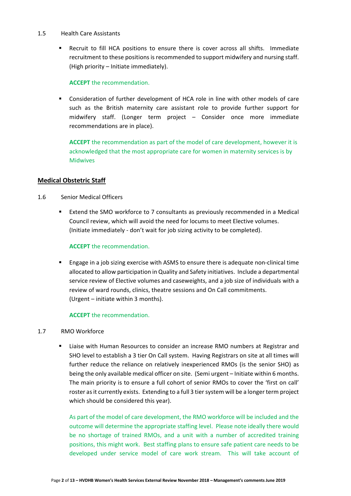#### 1.5 Health Care Assistants

 Recruit to fill HCA positions to ensure there is cover across all shifts. Immediate recruitment to these positions is recommended to support midwifery and nursing staff. (High priority – Initiate immediately).

#### **ACCEPT** the recommendation.

 Consideration of further development of HCA role in line with other models of care such as the British maternity care assistant role to provide further support for midwifery staff. (Longer term project – Consider once more immediate recommendations are in place).

**ACCEPT** the recommendation as part of the model of care development, however it is acknowledged that the most appropriate care for women in maternity services is by Midwives

## **Medical Obstetric Staff**

- 1.6 Senior Medical Officers
	- Extend the SMO workforce to 7 consultants as previously recommended in a Medical Council review, which will avoid the need for locums to meet Elective volumes. (Initiate immediately - don't wait for job sizing activity to be completed).

#### **ACCEPT** the recommendation.

 Engage in a job sizing exercise with ASMS to ensure there is adequate non-clinical time allocated to allow participation in Quality and Safety initiatives. Include a departmental service review of Elective volumes and caseweights, and a job size of individuals with a review of ward rounds, clinics, theatre sessions and On Call commitments. (Urgent – initiate within 3 months).

#### **ACCEPT** the recommendation.

#### 1.7 RMO Workforce

 Liaise with Human Resources to consider an increase RMO numbers at Registrar and SHO level to establish a 3 tier On Call system. Having Registrars on site at all times will further reduce the reliance on relatively inexperienced RMOs (is the senior SHO) as being the only available medical officer on site. (Semi urgent – Initiate within 6 months. The main priority is to ensure a full cohort of senior RMOs to cover the 'first on call' roster as it currently exists. Extending to a full 3 tiersystem will be a longer term project which should be considered this year).

As part of the model of care development, the RMO workforce will be included and the outcome will determine the appropriate staffing level. Please note ideally there would be no shortage of trained RMOs, and a unit with a number of accredited training positions, this might work. Best staffing plans to ensure safe patient care needs to be developed under service model of care work stream. This will take account of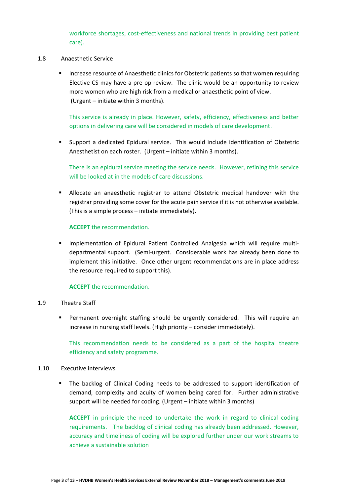workforce shortages, cost-effectiveness and national trends in providing best patient care).

- 1.8 Anaesthetic Service
	- Increase resource of Anaesthetic clinics for Obstetric patients so that women requiring Elective CS may have a pre op review. The clinic would be an opportunity to review more women who are high risk from a medical or anaesthetic point of view. (Urgent – initiate within 3 months).

This service is already in place. However, safety, efficiency, effectiveness and better options in delivering care will be considered in models of care development.

 Support a dedicated Epidural service. This would include identification of Obstetric Anesthetist on each roster. (Urgent – initiate within 3 months).

There is an epidural service meeting the service needs. However, refining this service will be looked at in the models of care discussions.

 Allocate an anaesthetic registrar to attend Obstetric medical handover with the registrar providing some cover for the acute pain service if it is not otherwise available. (This is a simple process – initiate immediately).

#### **ACCEPT** the recommendation.

 Implementation of Epidural Patient Controlled Analgesia which will require multidepartmental support. (Semi-urgent. Considerable work has already been done to implement this initiative. Once other urgent recommendations are in place address the resource required to support this).

#### **ACCEPT** the recommendation.

#### 1.9 Theatre Staff

 Permanent overnight staffing should be urgently considered. This will require an increase in nursing staff levels. (High priority – consider immediately).

This recommendation needs to be considered as a part of the hospital theatre efficiency and safety programme.

#### 1.10 Executive interviews

 The backlog of Clinical Coding needs to be addressed to support identification of demand, complexity and acuity of women being cared for. Further administrative support will be needed for coding. (Urgent – initiate within 3 months)

**ACCEPT** in principle the need to undertake the work in regard to clinical coding requirements. The backlog of clinical coding has already been addressed. However, accuracy and timeliness of coding will be explored further under our work streams to achieve a sustainable solution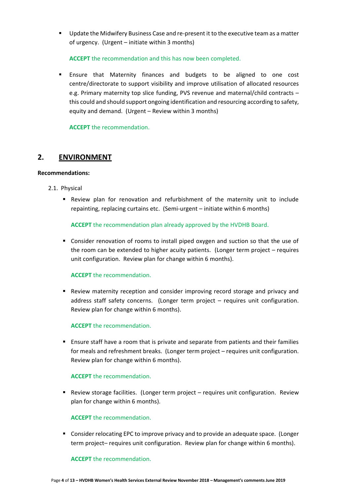Update the Midwifery Business Case and re-present it to the executive team as a matter of urgency. (Urgent – initiate within 3 months)

**ACCEPT** the recommendation and this has now been completed.

 Ensure that Maternity finances and budgets to be aligned to one cost centre/directorate to support visibility and improve utilisation of allocated resources e.g. Primary maternity top slice funding, PVS revenue and maternal/child contracts – this could and should support ongoing identification and resourcing according to safety, equity and demand. (Urgent – Review within 3 months)

**ACCEPT** the recommendation.

# **2. ENVIRONMENT**

#### **Recommendations:**

- 2.1. Physical
	- **Review plan for renovation and refurbishment of the maternity unit to include** repainting, replacing curtains etc. (Semi-urgent – initiate within 6 months)

**ACCEPT** the recommendation plan already approved by the HVDHB Board.

 Consider renovation of rooms to install piped oxygen and suction so that the use of the room can be extended to higher acuity patients. (Longer term project – requires unit configuration. Review plan for change within 6 months).

# **ACCEPT** the recommendation.

**Review maternity reception and consider improving record storage and privacy and** address staff safety concerns. (Longer term project – requires unit configuration. Review plan for change within 6 months).

# **ACCEPT** the recommendation.

 Ensure staff have a room that is private and separate from patients and their families for meals and refreshment breaks. (Longer term project – requires unit configuration. Review plan for change within 6 months).

#### **ACCEPT** the recommendation.

**Review storage facilities.** (Longer term project – requires unit configuration. Review plan for change within 6 months).

#### **ACCEPT** the recommendation.

 Consider relocating EPC to improve privacy and to provide an adequate space. (Longer term project– requires unit configuration. Review plan for change within 6 months).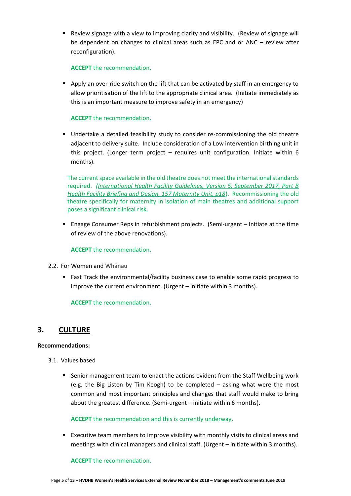Review signage with a view to improving clarity and visibility. (Review of signage will be dependent on changes to clinical areas such as EPC and or ANC – review after reconfiguration).

#### **ACCEPT** the recommendation.

Apply an over-ride switch on the lift that can be activated by staff in an emergency to allow prioritisation of the lift to the appropriate clinical area. (Initiate immediately as this is an important measure to improve safety in an emergency)

#### **ACCEPT** the recommendation.

 Undertake a detailed feasibility study to consider re-commissioning the old theatre adjacent to delivery suite. Include consideration of a Low intervention birthing unit in this project. (Longer term project – requires unit configuration. Initiate within 6 months).

The current space available in the old theatre does not meet the international standards required. *[\(International Health Facility Guidelines, Version 5, September 2017, Part B](http://healthfacilityguidelines.com/Guidelines/ViewPDF/iHFG/iHFG_part_b_maternity_unit)  [Health Facility Briefing and Design, 157 Maternity Unit, p18](http://healthfacilityguidelines.com/Guidelines/ViewPDF/iHFG/iHFG_part_b_maternity_unit)*). Recommissioning the old theatre specifically for maternity in isolation of main theatres and additional support poses a significant clinical risk.

 Engage Consumer Reps in refurbishment projects. (Semi-urgent – Initiate at the time of review of the above renovations).

#### **ACCEPT** the recommendation.

- 2.2. For Women and Whānau
	- Fast Track the environmental/facility business case to enable some rapid progress to improve the current environment. (Urgent – initiate within 3 months).

**ACCEPT** the recommendation.

# **3. CULTURE**

#### **Recommendations:**

- 3.1. Values based
	- **Senior management team to enact the actions evident from the Staff Wellbeing work** (e.g. the Big Listen by Tim Keogh) to be completed – asking what were the most common and most important principles and changes that staff would make to bring about the greatest difference. (Semi-urgent – initiate within 6 months).

#### **ACCEPT** the recommendation and this is currently underway.

 Executive team members to improve visibility with monthly visits to clinical areas and meetings with clinical managers and clinical staff. (Urgent – initiate within 3 months).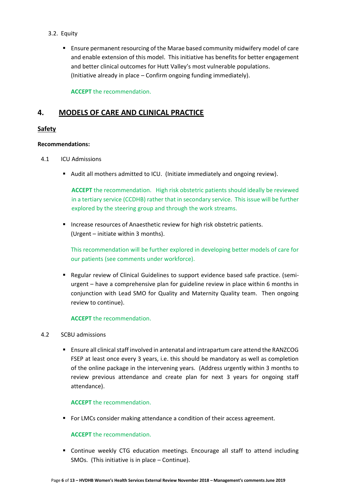- 3.2. Equity
	- Ensure permanent resourcing of the Marae based community midwifery model of care and enable extension of this model. This initiative has benefits for better engagement and better clinical outcomes for Hutt Valley's most vulnerable populations. (Initiative already in place – Confirm ongoing funding immediately).

**ACCEPT** the recommendation.

# **4. MODELS OF CARE AND CLINICAL PRACTICE**

# **Safety**

## **Recommendations:**

- 4.1 ICU Admissions
	- Audit all mothers admitted to ICU. (Initiate immediately and ongoing review).

**ACCEPT** the recommendation. High risk obstetric patients should ideally be reviewed in a tertiary service (CCDHB) rather that in secondary service. This issue will be further explored by the steering group and through the work streams.

**Increase resources of Anaesthetic review for high risk obstetric patients.** (Urgent – initiate within 3 months).

This recommendation will be further explored in developing better models of care for our patients (see comments under workforce).

**Regular review of Clinical Guidelines to support evidence based safe practice. (semi**urgent – have a comprehensive plan for guideline review in place within 6 months in conjunction with Lead SMO for Quality and Maternity Quality team. Then ongoing review to continue).

#### **ACCEPT** the recommendation.

#### 4.2 SCBU admissions

 Ensure all clinical staff involved in antenatal and intrapartum care attend the RANZCOG FSEP at least once every 3 years, i.e. this should be mandatory as well as completion of the online package in the intervening years. (Address urgently within 3 months to review previous attendance and create plan for next 3 years for ongoing staff attendance).

#### **ACCEPT** the recommendation.

**FIGM** For LMCs consider making attendance a condition of their access agreement.

#### **ACCEPT** the recommendation.

 Continue weekly CTG education meetings. Encourage all staff to attend including SMOs. (This initiative is in place – Continue).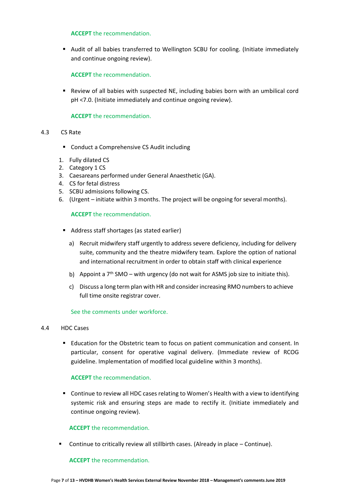#### **ACCEPT** the recommendation.

**Audit of all babies transferred to Wellington SCBU for cooling. (Initiate immediately** and continue ongoing review).

## **ACCEPT** the recommendation.

 Review of all babies with suspected NE, including babies born with an umbilical cord pH <7.0. (Initiate immediately and continue ongoing review).

## **ACCEPT** the recommendation.

#### 4.3 CS Rate

- Conduct a Comprehensive CS Audit including
- 1. Fully dilated CS
- 2. Category 1 CS
- 3. Caesareans performed under General Anaesthetic (GA).
- 4. CS for fetal distress
- 5. SCBU admissions following CS.
- 6. (Urgent initiate within 3 months. The project will be ongoing for several months).

## **ACCEPT** the recommendation.

- Address staff shortages (as stated earlier)
	- a) Recruit midwifery staff urgently to address severe deficiency, including for delivery suite, community and the theatre midwifery team. Explore the option of national and international recruitment in order to obtain staff with clinical experience
	- b) Appoint a  $7<sup>th</sup>$  SMO with urgency (do not wait for ASMS job size to initiate this).
	- c) Discuss a long term plan with HR and consider increasing RMO numbersto achieve full time onsite registrar cover.

#### See the comments under workforce.

- 4.4 HDC Cases
	- Education for the Obstetric team to focus on patient communication and consent. In particular, consent for operative vaginal delivery. (Immediate review of RCOG guideline. Implementation of modified local guideline within 3 months).

#### **ACCEPT** the recommendation.

 Continue to review all HDC cases relating to Women's Health with a view to identifying systemic risk and ensuring steps are made to rectify it. (Initiate immediately and continue ongoing review).

#### **ACCEPT** the recommendation.

**Continue to critically review all stillbirth cases. (Already in place – Continue).**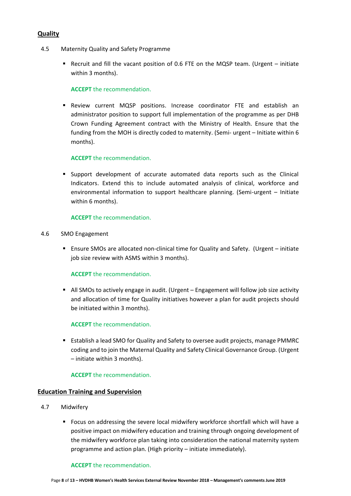# **Quality**

- 4.5 Maternity Quality and Safety Programme
	- Recruit and fill the vacant position of 0.6 FTE on the MQSP team. (Urgent initiate within 3 months).

#### **ACCEPT** the recommendation.

 Review current MQSP positions. Increase coordinator FTE and establish an administrator position to support full implementation of the programme as per DHB Crown Funding Agreement contract with the Ministry of Health. Ensure that the funding from the MOH is directly coded to maternity. (Semi- urgent – Initiate within 6 months).

## **ACCEPT** the recommendation.

**Support development of accurate automated data reports such as the Clinical** Indicators. Extend this to include automated analysis of clinical, workforce and environmental information to support healthcare planning. (Semi-urgent – Initiate within 6 months).

## **ACCEPT** the recommendation.

- 4.6 SMO Engagement
	- Ensure SMOs are allocated non-clinical time for Quality and Safety. (Urgent initiate job size review with ASMS within 3 months).

#### **ACCEPT** the recommendation.

All SMOs to actively engage in audit. (Urgent – Engagement will follow job size activity and allocation of time for Quality initiatives however a plan for audit projects should be initiated within 3 months).

#### **ACCEPT** the recommendation.

 Establish a lead SMO for Quality and Safety to oversee audit projects, manage PMMRC coding and to join the Maternal Quality and Safety Clinical Governance Group. (Urgent – initiate within 3 months).

#### **ACCEPT** the recommendation.

#### **Education Training and Supervision**

- 4.7 Midwifery
	- Focus on addressing the severe local midwifery workforce shortfall which will have a positive impact on midwifery education and training through ongoing development of the midwifery workforce plan taking into consideration the national maternity system programme and action plan. (High priority – initiate immediately).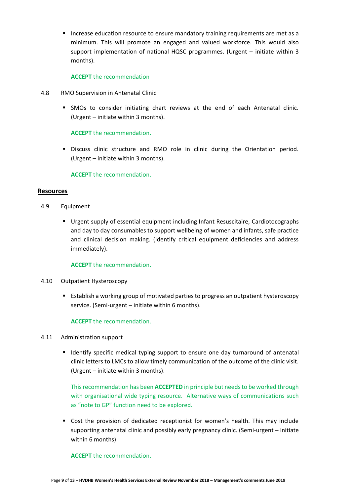**Increase education resource to ensure mandatory training requirements are met as a** minimum. This will promote an engaged and valued workforce. This would also support implementation of national HQSC programmes. (Urgent – initiate within 3 months).

#### **ACCEPT** the recommendation

- 4.8 RMO Supervision in Antenatal Clinic
	- **SMOs to consider initiating chart reviews at the end of each Antenatal clinic.** (Urgent – initiate within 3 months).

**ACCEPT** the recommendation.

 Discuss clinic structure and RMO role in clinic during the Orientation period. (Urgent – initiate within 3 months).

**ACCEPT** the recommendation.

#### **Resources**

- 4.9 Equipment
	- Urgent supply of essential equipment including Infant Resuscitaire, Cardiotocographs and day to day consumables to support wellbeing of women and infants, safe practice and clinical decision making. (Identify critical equipment deficiencies and address immediately).

#### **ACCEPT** the recommendation.

- 4.10 Outpatient Hysteroscopy
	- Establish a working group of motivated parties to progress an outpatient hysteroscopy service. (Semi-urgent – initiate within 6 months).

#### **ACCEPT** the recommendation.

- 4.11 Administration support
	- **If** Identify specific medical typing support to ensure one day turnaround of antenatal clinic letters to LMCs to allow timely communication of the outcome of the clinic visit. (Urgent – initiate within 3 months).

This recommendation has been **ACCEPTED** in principle but needsto be worked through with organisational wide typing resource. Alternative ways of communications such as "note to GP" function need to be explored.

 Cost the provision of dedicated receptionist for women's health. This may include supporting antenatal clinic and possibly early pregnancy clinic. (Semi-urgent – initiate within 6 months).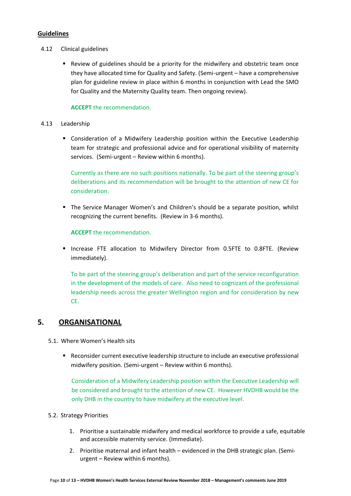## **Guidelines**

- 4.12 Clinical guidelines
	- Review of guidelines should be a priority for the midwifery and obstetric team once they have allocated time for Quality and Safety. (Semi-urgent – have a comprehensive plan for guideline review in place within 6 months in conjunction with Lead the SMO for Quality and the Maternity Quality team. Then ongoing review).

## **ACCEPT** the recommendation.

- 4.13 Leadership
	- Consideration of a Midwifery Leadership position within the Executive Leadership team for strategic and professional advice and for operational visibility of maternity services. (Semi-urgent – Review within 6 months).

Currently as there are no such positions nationally. To be part of the steering group's deliberations and its recommendation will be brought to the attention of new CE for consideration.

The Service Manager Women's and Children's should be a separate position, whilst recognizing the current benefits. (Review in 3-6 months).

**ACCEPT** the recommendation.

**Increase FTE allocation to Midwifery Director from 0.5FTE to 0.8FTE. (Review** immediately).

To be part of the steering group's deliberation and part of the service reconfiguration in the development of the models of care. Also need to cognizant of the professional leadership needs across the greater Wellington region and for consideration by new CE.

# **5. ORGANISATIONAL**

- 5.1. Where Women's Health sits
	- Reconsider current executive leadership structure to include an executive professional midwifery position. (Semi-urgent – Review within 6 months).

Consideration of a Midwifery Leadership position within the Executive Leadership will be considered and brought to the attention of new CE. However HVDHB would be the only DHB in the country to have midwifery at the executive level.

- 5.2. Strategy Priorities
	- 1. Prioritise a sustainable midwifery and medical workforce to provide a safe, equitable and accessible maternity service. (Immediate).
	- 2. Prioritise maternal and infant health evidenced in the DHB strategic plan. (Semiurgent – Review within 6 months).